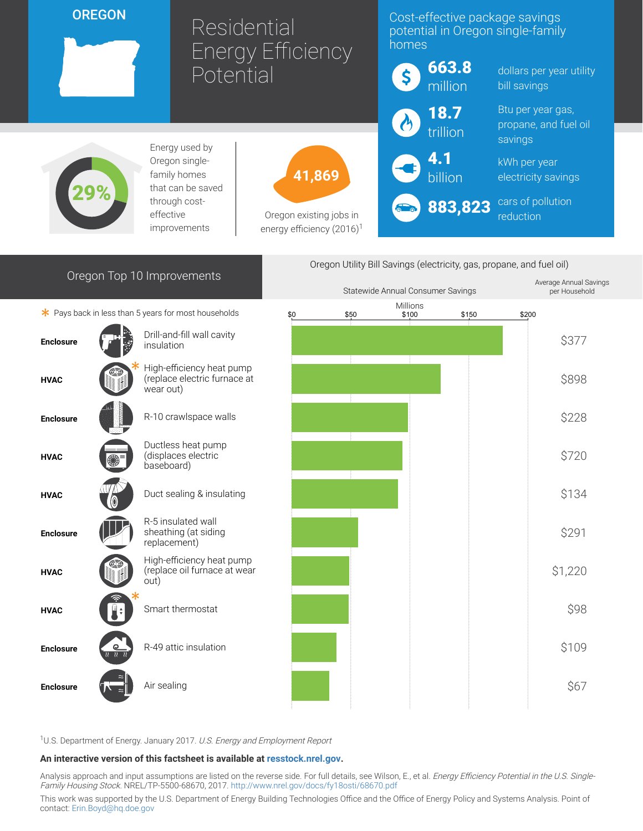### **OREGON**

29%

# Residential Energy Efficiency Potential

41,869

Oregon existing jobs in energy efficiency  $(2016)^1$ 

# Cost-effective package savings potential in Oregon single-family homes

| $\boldsymbol{\zeta}$ | 663.8<br>million               | dollars per y<br>bill savings          |
|----------------------|--------------------------------|----------------------------------------|
| $\left( 0\right)$    | $\frac{18.7}{\text{trillion}}$ | Btu per year<br>propane, an<br>savings |
|                      | $\bigodot$ 4.1                 | kWh per yea<br>electricity sa          |
|                      | <b>500 883,823</b>             | cars of pollu<br>reduction             |

ear utility

gas, d fuel oil

kWh per year avings

**ution** 

# Oregon Top 10 Improvements

Energy used by Oregon singlefamily homes that can be saved through costeffective improvements

 $*$  Pays back in less than 5 years for most households



Drill-and-fill wall cavity<br>insulation High-efficiency heat pump (replace electric furnace at wear out) Ductless heat pump (displaces electric baseboard) R-5 insulated wall sheathing (at siding replacement) High-efficiency heat pump (replace oil furnace at wear out)



Oregon Utility Bill Savings (electricity, gas, propane, and fuel oil)

<sup>1</sup>U.S. Department of Energy. January 2017. U.S. Energy and Employment Report

#### An interactive version of this factsheet is available at [resstock.nrel.gov.](https://resstock.nrel.gov/)

Analysis approach and input assumptions are listed on the reverse side. For full details, see Wilson, E., et al. Energy Efficiency Potential in the U.S. Single-Family Housing Stock. NREL/TP-5500-68670, 2017. <http://www.nrel.gov/docs/fy18osti/68670.pdf>

This work was supported by the U.S. Department of Energy Building Technologies Office and the Office of Energy Policy and Systems Analysis. Point of contact: [Erin.Boyd@hq.doe.gov](mailto:Erin.Boyd@hq.doe.gov)